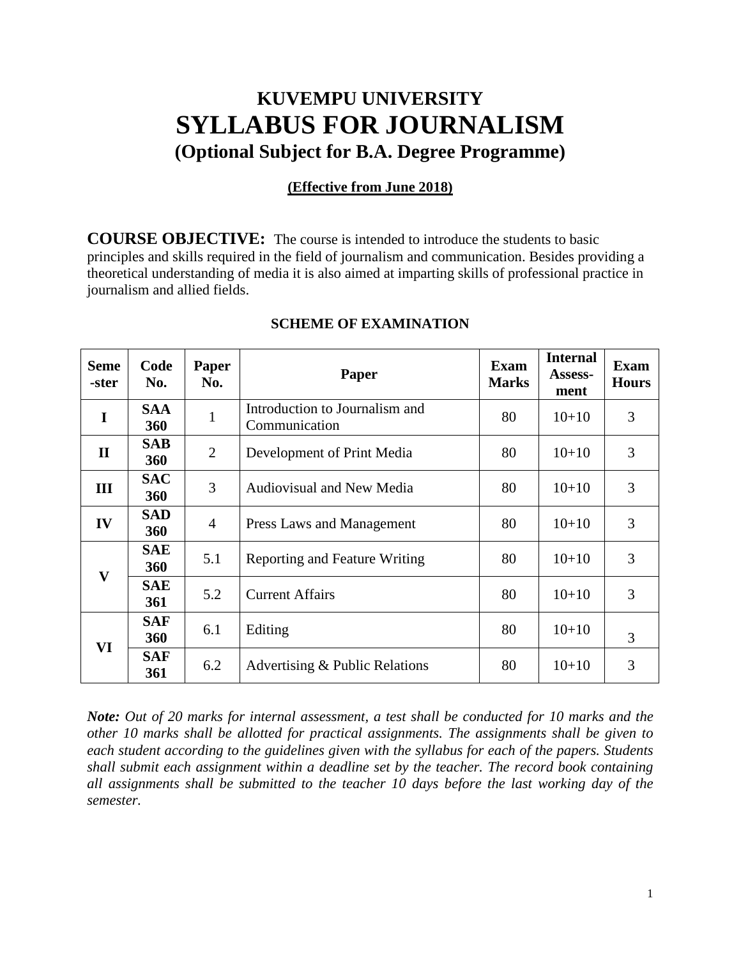# **KUVEMPU UNIVERSITY SYLLABUS FOR JOURNALISM (Optional Subject for B.A. Degree Programme)**

#### **(Effective from June 2018)**

**COURSE OBJECTIVE:** The course is intended to introduce the students to basic principles and skills required in the field of journalism and communication. Besides providing a theoretical understanding of media it is also aimed at imparting skills of professional practice in journalism and allied fields.

| <b>Seme</b><br>-ster | Code<br>No.              | <b>Paper</b><br>No. | Paper                                           | Exam<br><b>Marks</b> | <b>Internal</b><br><b>Assess-</b><br>ment | Exam<br><b>Hours</b> |
|----------------------|--------------------------|---------------------|-------------------------------------------------|----------------------|-------------------------------------------|----------------------|
| I                    | <b>SAA</b><br>360        |                     | Introduction to Journalism and<br>Communication | 80                   | $10+10$                                   | 3                    |
| $\mathbf{I}$         | <b>SAB</b><br>360        | $\overline{2}$      | Development of Print Media                      | 80                   | $10+10$                                   | 3                    |
| III                  | <b>SAC</b><br><b>360</b> | 3                   | <b>Audiovisual and New Media</b>                | 80                   | $10+10$                                   | 3                    |
| IV                   | <b>SAD</b><br><b>360</b> | 4                   | Press Laws and Management                       | 80                   | $10+10$                                   | 3                    |
| $\mathbf{V}$         | <b>SAE</b><br><b>360</b> | 5.1                 | Reporting and Feature Writing                   | 80                   | $10+10$                                   | 3                    |
|                      | <b>SAE</b><br><b>361</b> | 5.2                 | <b>Current Affairs</b>                          | 80                   | $10+10$                                   | 3                    |
| VI                   | <b>SAF</b><br><b>360</b> | 6.1                 | Editing                                         | 80                   | $10+10$                                   | 3                    |
|                      | <b>SAF</b><br>361        | 6.2                 | Advertising & Public Relations                  | 80                   | $10+10$                                   | 3                    |

#### **SCHEME OF EXAMINATION**

*Note: Out of 20 marks for internal assessment, a test shall be conducted for 10 marks and the other 10 marks shall be allotted for practical assignments. The assignments shall be given to each student according to the guidelines given with the syllabus for each of the papers. Students shall submit each assignment within a deadline set by the teacher. The record book containing all assignments shall be submitted to the teacher 10 days before the last working day of the semester.*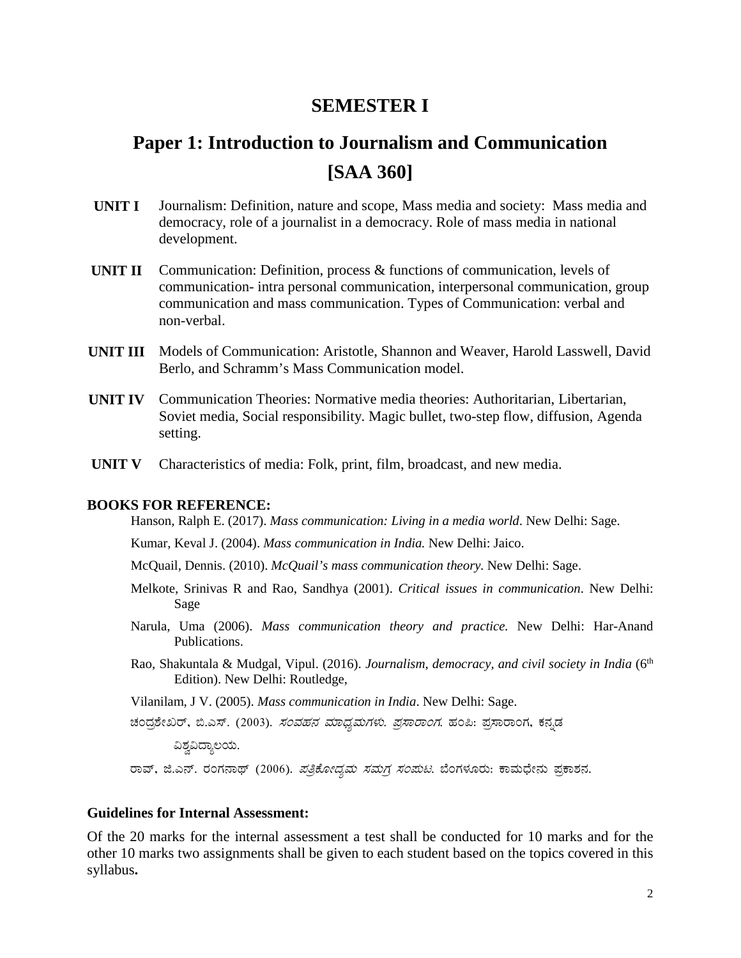### **SEMESTER I**

# Paper 1: Introduction to Journalism and Communication **[SAA 360]**

- **UNIT I** Journalism: Definition, nature and scope, Mass media and society: Mass media and democracy, role of a journalist in a democracy. Role of mass media in national development.
- Communication: Definition, process  $\&$  functions of communication, levels of UNIT II communication- intra personal communication, interpersonal communication, group communication and mass communication. Types of Communication: verbal and non-verbal
- **UNIT III** Models of Communication: Aristotle, Shannon and Weaver, Harold Lasswell, David Berlo, and Schramm's Mass Communication model.
- UNIT IV Communication Theories: Normative media theories: Authoritarian, Libertarian, Soviet media, Social responsibility. Magic bullet, two-step flow, diffusion, Agenda setting.
- Characteristics of media: Folk, print, film, broadcast, and new media. UNIT V

#### **BOOKS FOR REFERENCE:**

Hanson, Ralph E. (2017). Mass communication: Living in a media world. New Delhi: Sage.

Kumar, Keval J. (2004). Mass communication in India. New Delhi: Jaico.

- McQuail, Dennis. (2010). McQuail's mass communication theory. New Delhi: Sage.
- Melkote, Srinivas R and Rao, Sandhya (2001). Critical issues in communication. New Delhi: Sage
- Narula, Uma (2006). Mass communication theory and practice. New Delhi: Har-Anand Publications.
- Rao, Shakuntala & Mudgal, Vipul. (2016). Journalism, democracy, and civil society in India (6<sup>th</sup> Edition). New Delhi: Routledge,

Vilanilam, J V. (2005). Mass communication in India. New Delhi: Sage.

ವಿಶ್ರವಿದ್ಯಾಲಯ.

ರಾವ್, ಜಿ.ಎನ್. ರಂಗನಾಥ್ (2006). *ಪತ್ರಿಕೋದ್ಯಮ ಸಮಗ್ರ ಸಂಪುಟ*. ಬೆಂಗಳೂರು: ಕಾಮಧೇನು ಪ್ರಕಾಶನ.

#### **Guidelines for Internal Assessment:**

Of the 20 marks for the internal assessment a test shall be conducted for 10 marks and for the other 10 marks two assignments shall be given to each student based on the topics covered in this syllabus.

ಚಂದ್ರಶೇಖರ್, ಬಿ.ಎಸ್. (2003). *ಸಂವಹನ ಮಾಧ್ಯಮಗಳು. ಪ್ರಸಾರಾಂಗ*. ಹಂಪಿ: ಪ್ರಸಾರಾಂಗ, ಕನ್ನಡ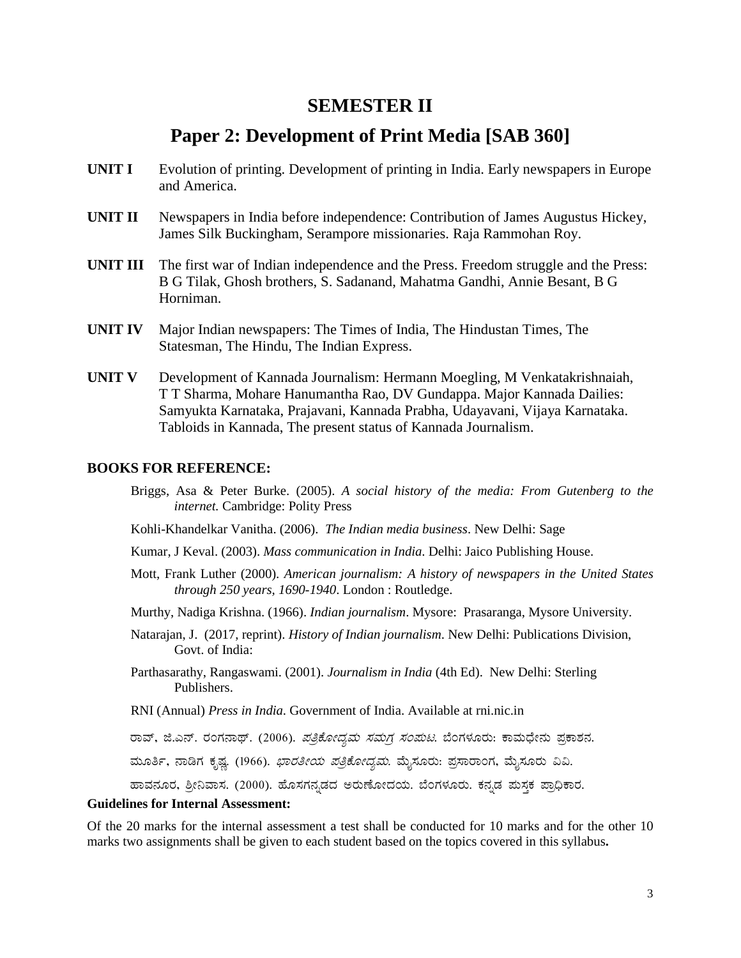### **SEMESTER II**

### **Paper 2: Development of Print Media [SAB 360]**

- **UNIT I** Evolution of printing. Development of printing in India. Early newspapers in Europe and America.
- **UNIT II** Newspapers in India before independence: Contribution of James Augustus Hickey, James Silk Buckingham, Serampore missionaries. Raja Rammohan Roy.
- **UNIT III** The first war of Indian independence and the Press. Freedom struggle and the Press: B G Tilak, Ghosh brothers, S. Sadanand, Mahatma Gandhi, Annie Besant, B G Horniman.
- **UNIT IV** Major Indian newspapers: The Times of India, The Hindustan Times, The Statesman, The Hindu, The Indian Express.
- **UNIT V** Development of Kannada Journalism: Hermann Moegling, M Venkatakrishnaiah, T T Sharma, Mohare Hanumantha Rao, DV Gundappa. Major Kannada Dailies: Samyukta Karnataka, Prajavani, Kannada Prabha, Udayavani, Vijaya Karnataka. Tabloids in Kannada, The present status of Kannada Journalism.

#### **BOOKS FOR REFERENCE:**

- Briggs, Asa & Peter Burke. (2005). *A social history of the media: From Gutenberg to the internet.* Cambridge: Polity Press
- Kohli-Khandelkar Vanitha. (2006). *The Indian media business*. New Delhi: Sage
- Kumar, J Keval. (2003). *Mass communication in India*. Delhi: Jaico Publishing House.
- Mott, Frank Luther (2000). *American journalism: A history of newspapers in the United States through 250 years, 1690-1940*. London : Routledge.
- Murthy, Nadiga Krishna. (1966). *Indian journalism*. Mysore: Prasaranga, Mysore University.
- Natarajan, J. (2017, reprint). *History of Indian journalism*. New Delhi: Publications Division, Govt. of India:
- Parthasarathy, Rangaswami. (2001). *Journalism in India* (4th Ed). New Delhi: Sterling Publishers.
- RNI (Annual) *Press in India*. Government of India. Available at rni.nic.in

ರಾವ್, ಜಿ.ಎನ್. ರಂಗನಾಥ್. (2006). *ಪತ್ರಿಕೋದ್ಯಮ ಸಮಗ್ರ ಸಂಪುಟ*. ಬೆಂಗಳೂರು: ಕಾಮಧೇನು ಪ್ರಕಾಶನ.

ಮೂರ್ತಿ, ನಾಡಿಗ ಕೃಷ್ಣ. (1966). *ಭಾರತೀಯ ಪತ್ರಿಕೋದ್ಯಮ*. ಮೈಸೂರು: ಪ್ರಸಾರಾಂಗ, ಮೈಸೂರು ವಿವಿ.

ಹಾವನೂರ, ಶ್ರೀನಿವಾಸ. (2000). ಹೊಸಗನ್ನಡದ ಅರುಣೋದಯ. ಬೆಂಗಳೂರು. ಕನ್ನಡ ಮಸ್ತಕ ಪ್ರಾಧಿಕಾರ.

#### **Guidelines for Internal Assessment:**

Of the 20 marks for the internal assessment a test shall be conducted for 10 marks and for the other 10 marks two assignments shall be given to each student based on the topics covered in this syllabus**.**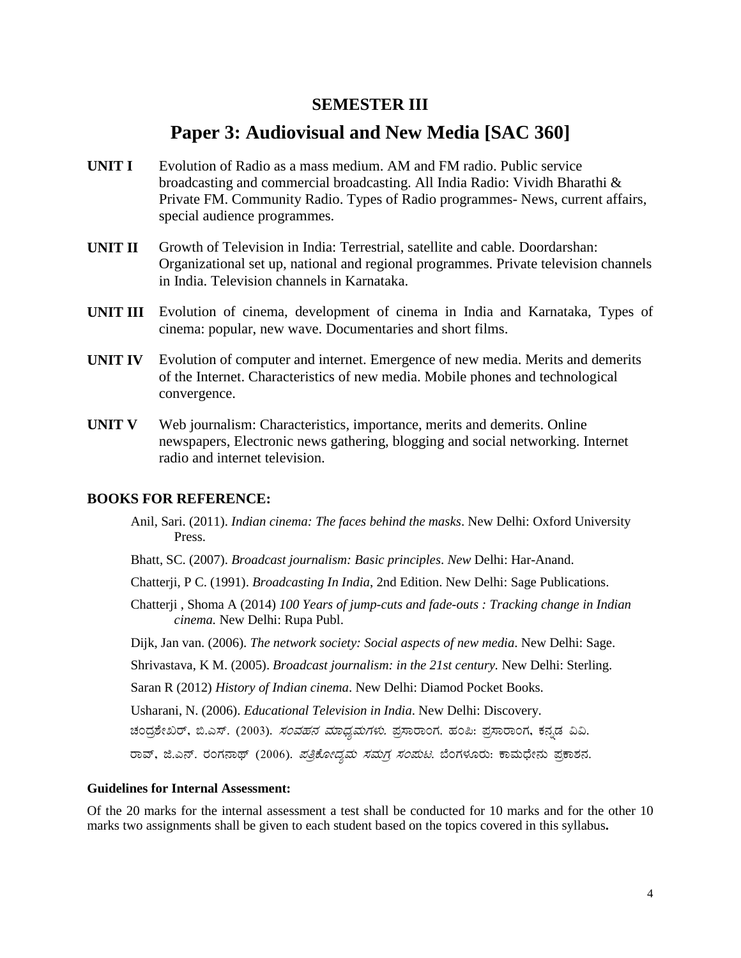#### **SEMESTER III**

### Paper 3: Audiovisual and New Media [SAC 360]

- Evolution of Radio as a mass medium. AM and FM radio. Public service **UNIT I** broadcasting and commercial broadcasting. All India Radio: Vividh Bharathi & Private FM. Community Radio. Types of Radio programmes- News, current affairs, special audience programmes.
- **UNIT II** Growth of Television in India: Terrestrial, satellite and cable. Doordarshan: Organizational set up, national and regional programmes. Private television channels in India. Television channels in Karnataka.
- **UNIT III** Evolution of cinema, development of cinema in India and Karnataka, Types of cinema: popular, new wave. Documentaries and short films.
- UNIT IV Evolution of computer and internet. Emergence of new media. Merits and demerits of the Internet. Characteristics of new media. Mobile phones and technological convergence.
- Web journalism: Characteristics, importance, merits and demerits. Online **UNIT V** newspapers, Electronic news gathering, blogging and social networking. Internet radio and internet television.

#### **BOOKS FOR REFERENCE:**

- Anil, Sari. (2011). *Indian cinema: The faces behind the masks*. New Delhi: Oxford University Press.
- Bhatt, SC. (2007). Broadcast journalism: Basic principles. New Delhi: Har-Anand.
- Chatterji, P.C. (1991). *Broadcasting In India*, 2nd Edition. New Delhi: Sage Publications.
- Chatterji, Shoma A (2014) 100 Years of jump-cuts and fade-outs: Tracking change in Indian cinema. New Delhi: Rupa Publ.
- Dijk, Jan van. (2006). The network society: Social aspects of new media. New Delhi: Sage.
- Shrivastava, K M. (2005). Broadcast journalism: in the 21st century. New Delhi: Sterling.
- Saran R (2012) History of Indian cinema. New Delhi: Diamod Pocket Books.

Usharani, N. (2006). Educational Television in India. New Delhi: Discovery.

ಚಂದ್ರಶೇಖರ್, ಬಿ.ಎಸ್. (2003). *ಸಂವಹನ ಮಾಧ್ಯಮಗಳು.* ಪ್ರಸಾರಾಂಗ. ಹಂಪಿ: ಪ್ರಸಾರಾಂಗ, ಕನ್ನಡ ವಿವಿ.

ರಾವ್, ಜಿ.ಎನ್. ರಂಗನಾಥ್ (2006). *ಪತ್ರಿಕೋದ್ಯಮ ಸಮಗ್ರ ಸಂಪುಟ*. ಬೆಂಗಳೂರು: ಕಾಮಧೇನು ಪ್ರಕಾಶನ.

#### **Guidelines for Internal Assessment:**

Of the 20 marks for the internal assessment a test shall be conducted for 10 marks and for the other 10 marks two assignments shall be given to each student based on the topics covered in this syllabus.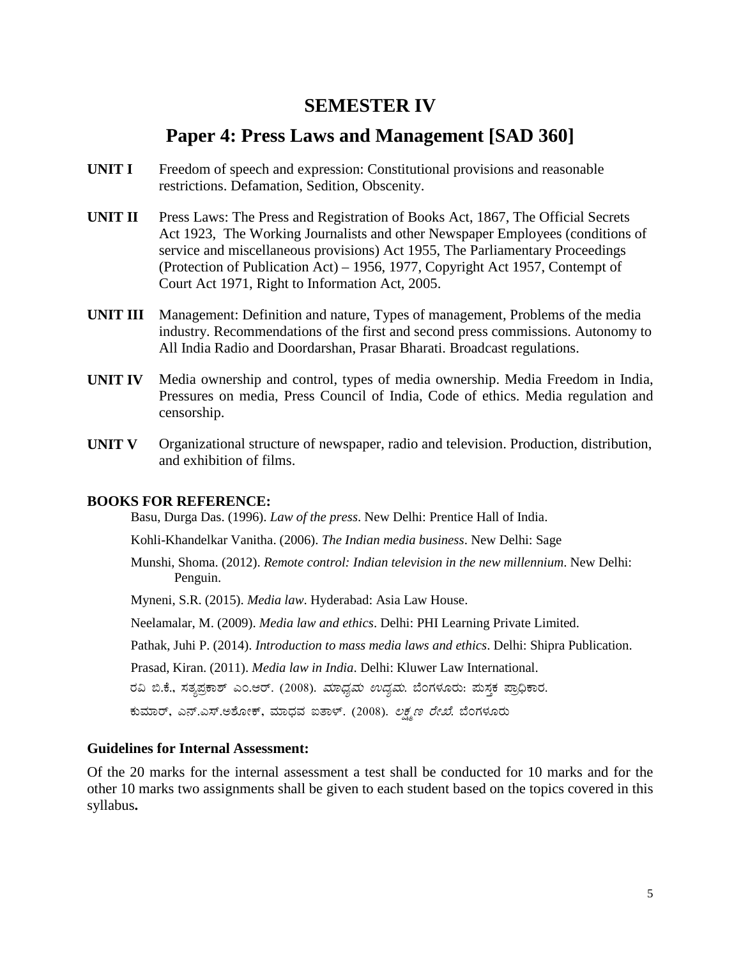### **SEMESTER IV**

### Paper 4: Press Laws and Management [SAD 360]

- **UNIT I** Freedom of speech and expression: Constitutional provisions and reasonable restrictions. Defamation, Sedition, Obscenity.
- UNIT II Press Laws: The Press and Registration of Books Act, 1867, The Official Secrets Act 1923, The Working Journalists and other Newspaper Employees (conditions of service and miscellaneous provisions) Act 1955, The Parliamentary Proceedings (Protection of Publication Act) – 1956, 1977, Copyright Act 1957, Contempt of Court Act 1971, Right to Information Act, 2005.
- **UNIT III** Management: Definition and nature, Types of management, Problems of the media industry. Recommendations of the first and second press commissions. Autonomy to All India Radio and Doordarshan, Prasar Bharati. Broadcast regulations.
- Media ownership and control, types of media ownership. Media Freedom in India, UNIT IV Pressures on media, Press Council of India, Code of ethics. Media regulation and censorship.
- UNIT V Organizational structure of newspaper, radio and television. Production, distribution, and exhibition of films.

#### **BOOKS FOR REFERENCE:**

Basu, Durga Das. (1996). Law of the press. New Delhi: Prentice Hall of India.

Kohli-Khandelkar Vanitha. (2006). The Indian media business. New Delhi: Sage

Munshi, Shoma. (2012). Remote control: Indian television in the new millennium. New Delhi: Penguin.

Myneni, S.R. (2015). Media law. Hyderabad: Asia Law House.

Neelamalar, M. (2009). Media law and ethics. Delhi: PHI Learning Private Limited.

Pathak, Juhi P. (2014). Introduction to mass media laws and ethics. Delhi: Shipra Publication.

Prasad, Kiran. (2011). Media law in India. Delhi: Kluwer Law International.

ರವಿ ಬಿ.ಕೆ., ಸತ್ಯಪ್ರಕಾಶ್ ಎಂ.ಆರ್. (2008). *ಮಾಧ್ಯಮ ಉದ್ಯಮ*. ಬೆಂಗಳೂರು: ಮಸ್ತಕ ಪ್ರಾಧಿಕಾರ.

ಕುಮಾರ್, ಎನ್.ಎಸ್.ಅಶೋಕ್, ಮಾಧವ ಐತಾಳ್. (2008). ಲಕ್ಷ್ಮಣ *ರೇಖೆ*. ಬೆಂಗಳೂರು

#### **Guidelines for Internal Assessment:**

Of the 20 marks for the internal assessment a test shall be conducted for 10 marks and for the other 10 marks two assignments shall be given to each student based on the topics covered in this syllabus.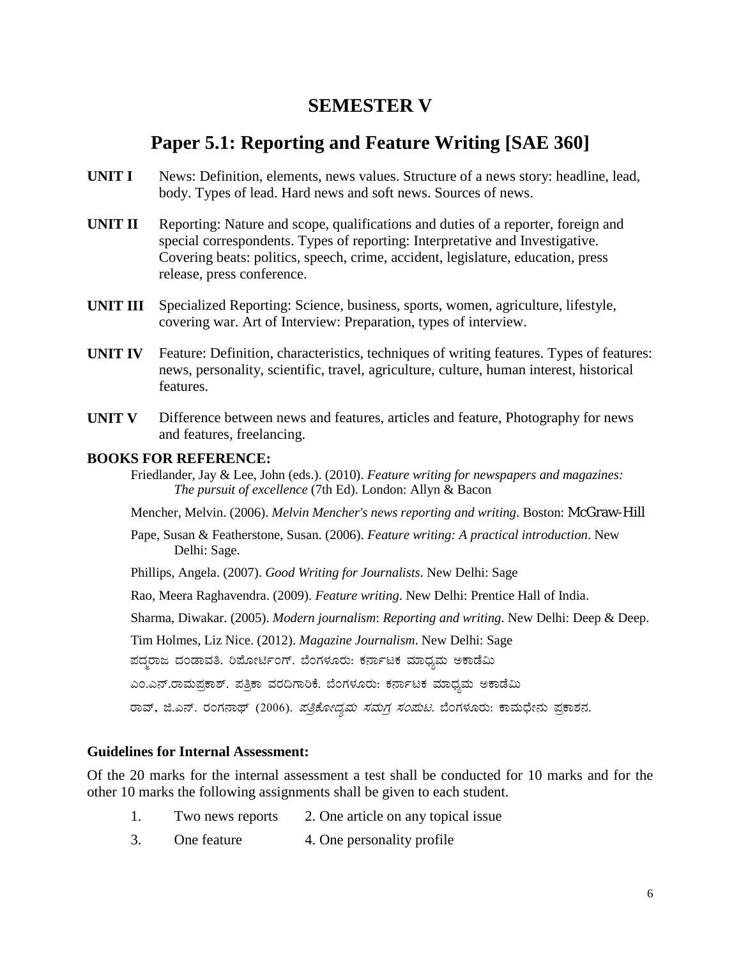### **SEMESTER V**

### **Paper 5.1: Reporting and Feature Writing [SAE 360]**

- **UNIT I** News: Definition, elements, news values. Structure of a news story: headline, lead, body. Types of lead. Hard news and soft news. Sources of news.
- **UNIT II** Reporting: Nature and scope, qualifications and duties of a reporter, foreign and special correspondents. Types of reporting: Interpretative and Investigative. Covering beats: politics, speech, crime, accident, legislature, education, press release, press conference.
- **UNIT III** Specialized Reporting: Science, business, sports, women, agriculture, lifestyle, covering war. Art of Interview: Preparation, types of interview.
- **UNIT IV** Feature: Definition, characteristics, techniques of writing features. Types of features: news, personality, scientific, travel, agriculture, culture, human interest, historical features.
- **UNIT V** Difference between news and features, articles and feature, Photography for news and features, freelancing.

#### **BOOKS FOR REFERENCE:**

Friedlander, Jay & Lee, John (eds.). (2010). *Feature writing for newspapers and magazines: The pursuit of excellence* (7th Ed). London: Allyn & Bacon

Mencher, Melvin. (2006). *Melvin Mencher's news reporting and writing*. Boston: McGraw-Hill

- Pape, Susan & Featherstone, Susan. (2006). *Feature writing: A practical introduction*. New Delhi: Sage.
- Phillips, Angela. (2007). *Good Writing for Journalists*. New Delhi: Sage

Rao, Meera Raghavendra. (2009). *Feature writing*. New Delhi: Prentice Hall of India.

Sharma, Diwakar. (2005). *Modern journalism*: *Reporting and writing*. New Delhi: Deep & Deep.

Tim Holmes, Liz Nice. (2012). *Magazine Journalism*. New Delhi: Sage

ಪದ್ಧರಾಜ ದಂಡಾವತಿ. ರಿಪೋರ್ಟಿಂಗ್. ಬೆಂಗಳೂರು: ಕರ್ನಾಟಕ ಮಾಧ್ಯಮ ಅಕಾಡೆಮಿ

ಎಂ.ಎನ್.ರಾಮಪ್ರಕಾಶ್. ಪತ್ರಿಕಾ ವರದಿಗಾರಿಕೆ. ಬೆಂಗಳೂರು: ಕರ್ನಾಟಕ ಮಾಧ್ಯಮ ಅಕಾಡೆಮಿ

ರಾವ್, ಜಿ.ಎನ್. ರಂಗನಾಥ್ (2006). *ಪತ್ರಿಕೋದ್ಯಮ ಸಮಗ್ರ ಸಂಪುಟ.* ಬೆಂಗಳೂರು: ಕಾಮಧೇನು ಪ್ರಕಾಶನ.

#### **Guidelines for Internal Assessment:**

Of the 20 marks for the internal assessment a test shall be conducted for 10 marks and for the other 10 marks the following assignments shall be given to each student.

- 1. Two news reports 2. One article on any topical issue
- 3. One feature 4. One personality profile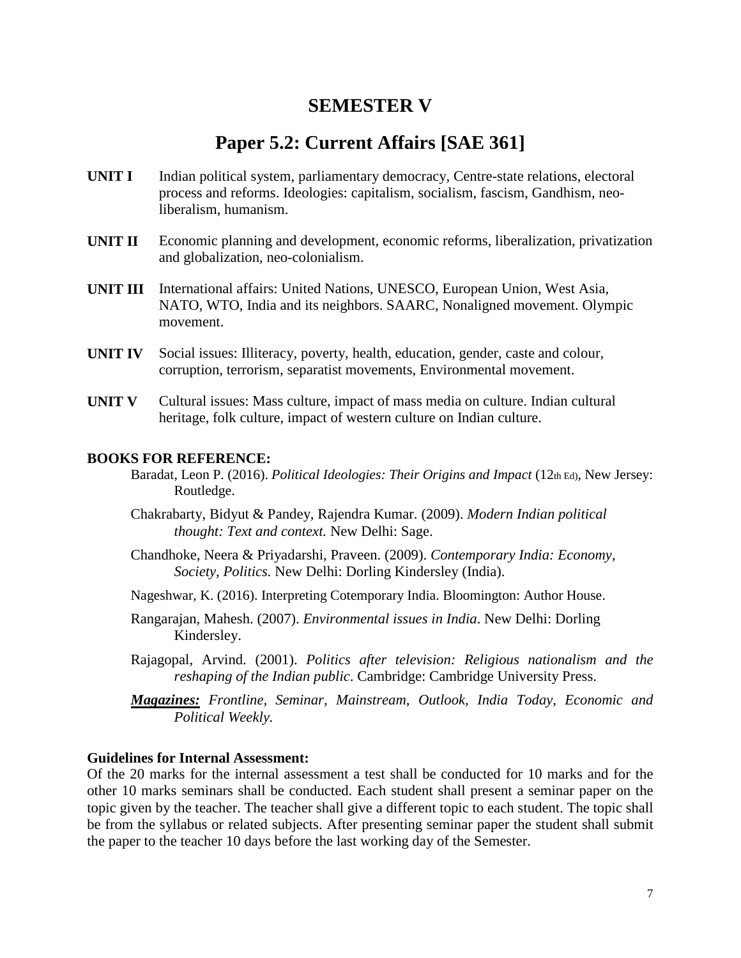### **SEMESTER V**

### **Paper 5.2: Current Affairs [SAE 361]**

- **UNIT I** Indian political system, parliamentary democracy, Centre-state relations, electoral process and reforms. Ideologies: capitalism, socialism, fascism, Gandhism, neoliberalism, humanism.
- **UNIT II** Economic planning and development, economic reforms, liberalization, privatization and globalization, neo-colonialism.
- **UNIT III** International affairs: United Nations, UNESCO, European Union, West Asia, NATO, WTO, India and its neighbors. SAARC, Nonaligned movement. Olympic movement.
- **UNIT IV** Social issues: Illiteracy, poverty, health, education, gender, caste and colour, corruption, terrorism, separatist movements, Environmental movement.
- **UNIT V** Cultural issues: Mass culture, impact of mass media on culture. Indian cultural heritage, folk culture, impact of western culture on Indian culture.

#### **BOOKS FOR REFERENCE:**

- Baradat, Leon P. (2016). *Political Ideologies: Their Origins and Impact* (12th Ed), New Jersey: Routledge.
- Chakrabarty, Bidyut & Pandey, Rajendra Kumar. (2009). *Modern Indian political thought: Text and context.* New Delhi: Sage.
- Chandhoke, Neera & Priyadarshi, Praveen. (2009). *Contemporary India: Economy, Society, Politics.* New Delhi: Dorling Kindersley (India).
- Nageshwar, K. (2016). Interpreting Cotemporary India. Bloomington: Author House.
- Rangarajan, Mahesh. (2007). *Environmental issues in India*. New Delhi: Dorling Kindersley.
- Rajagopal, Arvind. (2001). *Politics after television: Religious nationalism and the reshaping of the Indian public*. Cambridge: Cambridge University Press.
- *Magazines: Frontline, Seminar, Mainstream, Outlook, India Today, Economic and Political Weekly.*

#### **Guidelines for Internal Assessment:**

Of the 20 marks for the internal assessment a test shall be conducted for 10 marks and for the other 10 marks seminars shall be conducted. Each student shall present a seminar paper on the topic given by the teacher. The teacher shall give a different topic to each student. The topic shall be from the syllabus or related subjects. After presenting seminar paper the student shall submit the paper to the teacher 10 days before the last working day of the Semester.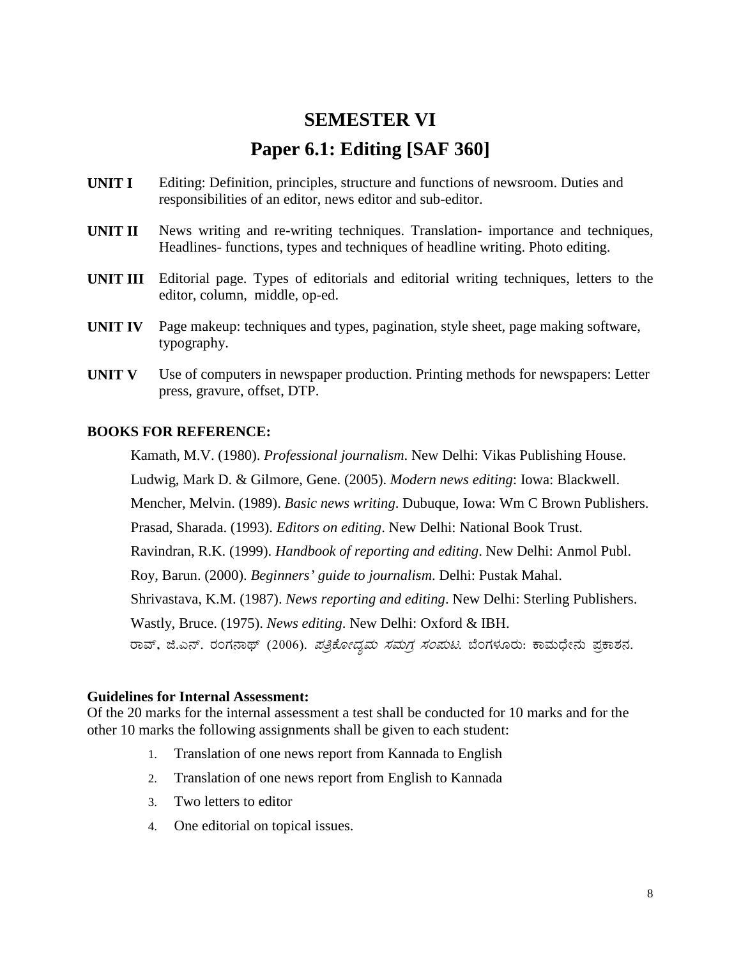# **SEMESTER VI Paper 6.1: Editing [SAF 360]**

- **UNIT I** Editing: Definition, principles, structure and functions of newsroom. Duties and responsibilities of an editor, news editor and sub-editor.
- **UNIT II** News writing and re-writing techniques. Translation- importance and techniques, Headlines- functions, types and techniques of headline writing. Photo editing.
- **UNIT III** Editorial page. Types of editorials and editorial writing techniques, letters to the editor, column, middle, op-ed.
- **UNIT IV** Page makeup: techniques and types, pagination, style sheet, page making software, typography.
- **UNIT V** Use of computers in newspaper production. Printing methods for newspapers: Letter press, gravure, offset, DTP.

#### **BOOKS FOR REFERENCE:**

Kamath, M.V. (1980). *Professional journalism*. New Delhi: Vikas Publishing House. Ludwig, Mark D. & Gilmore, Gene. (2005). *Modern news editing*: Iowa: Blackwell. Mencher, Melvin. (1989). *Basic news writing*. Dubuque, Iowa: Wm C Brown Publishers. Prasad, Sharada. (1993). *Editors on editing*. New Delhi: National Book Trust. Ravindran, R.K. (1999). *Handbook of reporting and editing*. New Delhi: Anmol Publ. Roy, Barun. (2000). *Beginners' guide to journalism*. Delhi: Pustak Mahal. Shrivastava, K.M. (1987). *News reporting and editing*. New Delhi: Sterling Publishers. Wastly, Bruce. (1975). *News editing*. New Delhi: Oxford & IBH. ರಾವ್, ಜಿ.ಎನ್. ರಂಗನಾಥ್ (2006). *ಪತ್ರಿಕೋದ್ಯಮ ಸಮಗ್ರ ಸಂಪುಟ*. ಬೆಂಗಳೂರು: ಕಾಮಧೇನು ಪ್ರಕಾಶನ.

#### **Guidelines for Internal Assessment:**

Of the 20 marks for the internal assessment a test shall be conducted for 10 marks and for the other 10 marks the following assignments shall be given to each student:

- 1. Translation of one news report from Kannada to English
- 2. Translation of one news report from English to Kannada
- 3. Two letters to editor
- 4. One editorial on topical issues.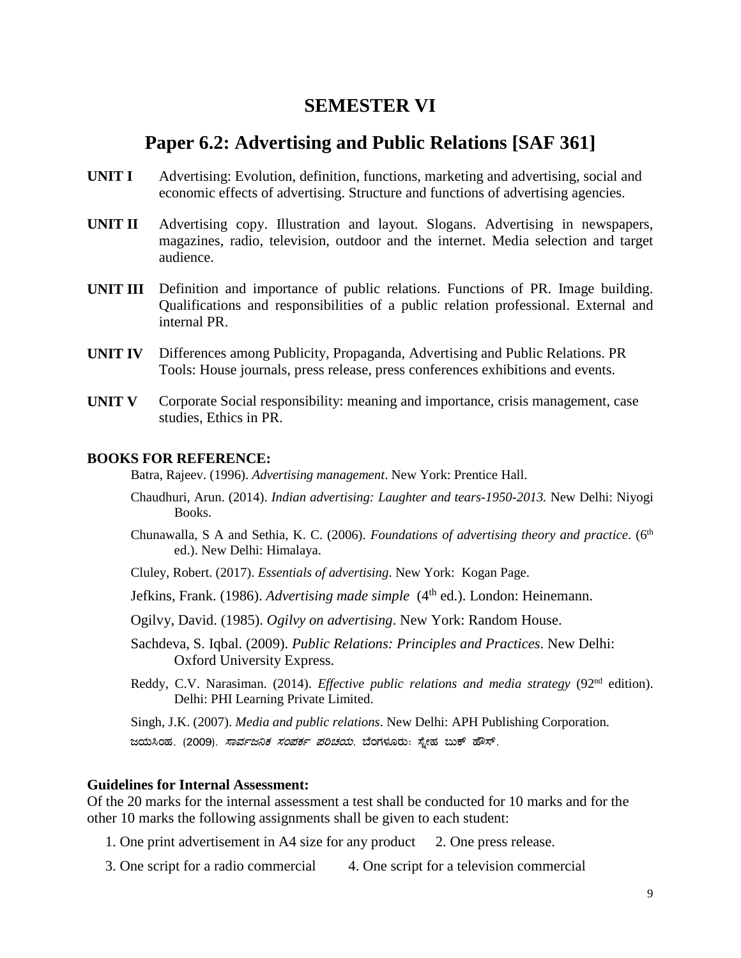### **SEMESTER VI**

### **Paper 6.2: Advertising and Public Relations [SAF 361]**

- **UNIT I** Advertising: Evolution, definition, functions, marketing and advertising, social and economic effects of advertising. Structure and functions of advertising agencies.
- **UNIT II** Advertising copy. Illustration and layout. Slogans. Advertising in newspapers, magazines, radio, television, outdoor and the internet. Media selection and target audience.
- **UNIT III** Definition and importance of public relations. Functions of PR. Image building. Qualifications and responsibilities of a public relation professional. External and internal PR.
- **UNIT IV** Differences among Publicity, Propaganda, Advertising and Public Relations. PR Tools: House journals, press release, press conferences exhibitions and events.
- **UNIT V** Corporate Social responsibility: meaning and importance, crisis management, case studies, Ethics in PR.

#### **BOOKS FOR REFERENCE:**

Batra, Rajeev. (1996). *Advertising management*. New York: Prentice Hall.

- Chaudhuri, Arun. (2014). *Indian advertising: Laughter and tears-1950-2013.* New Delhi: Niyogi Books.
- Chunawalla, S A and Sethia, K. C. (2006). *Foundations of advertising theory and practice*. (6<sup>th</sup> ed.). New Delhi: Himalaya.
- Cluley, Robert. (2017). *Essentials of advertising*. New York: Kogan Page.
- Jefkins, Frank. (1986). *Advertising made simple* (4<sup>th</sup> ed.). London: Heinemann.
- Ogilvy, David. (1985). *Ogilvy on advertising*. New York: Random House.
- Sachdeva, S. Iqbal. (2009). *Public Relations: Principles and Practices*. New Delhi: Oxford University Express.
- Reddy, C.V. Narasiman. (2014). *Effective public relations and media strategy* (92<sup>nd</sup> edition). Delhi: PHI Learning Private Limited.

Singh, J.K. (2007). *Media and public relations*. New Delhi: APH Publishing Corporation. ಜಯಸಿಂಹ. (2009). *ಸಾರ್ವಜನಿಕ ಸಂಪರ್ಕ ಪರಿಚಯ*. ಬೆಂಗಳೂರು: ಸ್ನೇಹ ಬುಕ್ ಹೌಸ್.

#### **Guidelines for Internal Assessment:**

Of the 20 marks for the internal assessment a test shall be conducted for 10 marks and for the other 10 marks the following assignments shall be given to each student:

- 1. One print advertisement in A4 size for any product 2. One press release.
- 3. One script for a radio commercial 4. One script for a television commercial